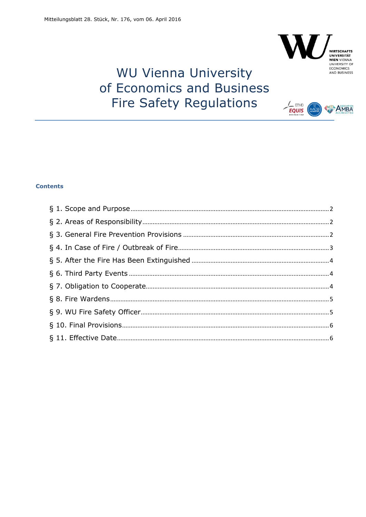

 $E_{\text{QUIS}}$ 

# **WIRTSCHAFTS<br>UNIVERSITÄT<br>WIEN VIENNA<br>UNIVERSITY OF<br>ECONOMICS<br>AND BUSINESS**

**AMBA** 

# **WU Vienna University** of Economics and Business **Fire Safety Regulations**

# **Contents**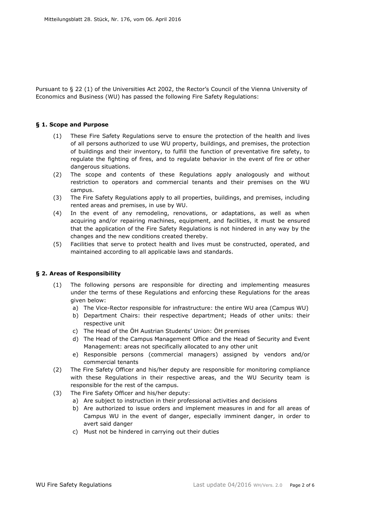Pursuant to § 22 (1) of the Universities Act 2002, the Rector's Council of the Vienna University of Economics and Business (WU) has passed the following Fire Safety Regulations:

#### <span id="page-1-0"></span>**§ 1. Scope and Purpose**

- (1) These Fire Safety Regulations serve to ensure the protection of the health and lives of all persons authorized to use WU property, buildings, and premises, the protection of buildings and their inventory, to fulfill the function of preventative fire safety, to regulate the fighting of fires, and to regulate behavior in the event of fire or other dangerous situations.
- (2) The scope and contents of these Regulations apply analogously and without restriction to operators and commercial tenants and their premises on the WU campus.
- (3) The Fire Safety Regulations apply to all properties, buildings, and premises, including rented areas and premises, in use by WU.
- (4) In the event of any remodeling, renovations, or adaptations, as well as when acquiring and/or repairing machines, equipment, and facilities, it must be ensured that the application of the Fire Safety Regulations is not hindered in any way by the changes and the new conditions created thereby.
- (5) Facilities that serve to protect health and lives must be constructed, operated, and maintained according to all applicable laws and standards.

#### <span id="page-1-1"></span>**§ 2. Areas of Responsibility**

- (1) The following persons are responsible for directing and implementing measures under the terms of these Regulations and enforcing these Regulations for the areas given below:
	- a) The Vice-Rector responsible for infrastructure: the entire WU area (Campus WU)
	- b) Department Chairs: their respective department; Heads of other units: their respective unit
	- c) The Head of the ÖH Austrian Students' Union: ÖH premises
	- d) The Head of the Campus Management Office and the Head of Security and Event Management: areas not specifically allocated to any other unit
	- e) Responsible persons (commercial managers) assigned by vendors and/or commercial tenants
- (2) The Fire Safety Officer and his/her deputy are responsible for monitoring compliance with these Regulations in their respective areas, and the WU Security team is responsible for the rest of the campus.
- (3) The Fire Safety Officer and his/her deputy:
	- a) Are subject to instruction in their professional activities and decisions
	- b) Are authorized to issue orders and implement measures in and for all areas of Campus WU in the event of danger, especially imminent danger, in order to avert said danger
	- c) Must not be hindered in carrying out their duties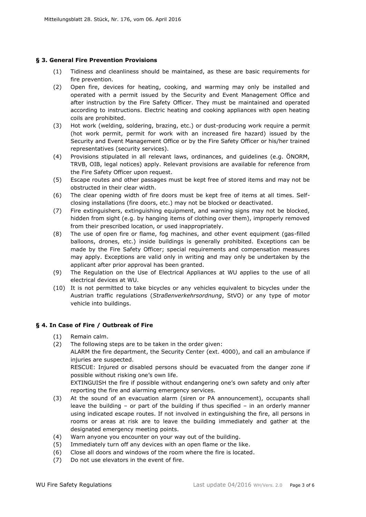# <span id="page-2-0"></span>**§ 3. General Fire Prevention Provisions**

- (1) Tidiness and cleanliness should be maintained, as these are basic requirements for fire prevention.
- (2) Open fire, devices for heating, cooking, and warming may only be installed and operated with a permit issued by the Security and Event Management Office and after instruction by the Fire Safety Officer. They must be maintained and operated according to instructions. Electric heating and cooking appliances with open heating coils are prohibited.
- (3) Hot work (welding, soldering, brazing, etc.) or dust-producing work require a permit (hot work permit, permit for work with an increased fire hazard) issued by the Security and Event Management Office or by the Fire Safety Officer or his/her trained representatives (security services).
- (4) Provisions stipulated in all relevant laws, ordinances, and guidelines (e.g. ÖNORM, TRVB, OIB, legal notices) apply. Relevant provisions are available for reference from the Fire Safety Officer upon request.
- (5) Escape routes and other passages must be kept free of stored items and may not be obstructed in their clear width.
- (6) The clear opening width of fire doors must be kept free of items at all times. Selfclosing installations (fire doors, etc.) may not be blocked or deactivated.
- (7) Fire extinguishers, extinguishing equipment, and warning signs may not be blocked, hidden from sight (e.g. by hanging items of clothing over them), improperly removed from their prescribed location, or used inappropriately.
- (8) The use of open fire or flame, fog machines, and other event equipment (gas-filled balloons, drones, etc.) inside buildings is generally prohibited. Exceptions can be made by the Fire Safety Officer; special requirements and compensation measures may apply. Exceptions are valid only in writing and may only be undertaken by the applicant after prior approval has been granted.
- (9) The Regulation on the Use of Electrical Appliances at WU applies to the use of all electrical devices at WU.
- (10) It is not permitted to take bicycles or any vehicles equivalent to bicycles under the Austrian traffic regulations (*Straßenverkehrsordnung*, StVO) or any type of motor vehicle into buildings.

#### <span id="page-2-1"></span>**§ 4. In Case of Fire / Outbreak of Fire**

- (1) Remain calm.
- (2) The following steps are to be taken in the order given:

ALARM the fire department, the Security Center (ext. 4000), and call an ambulance if injuries are suspected.

RESCUE: Injured or disabled persons should be evacuated from the danger zone if possible without risking one's own life.

EXTINGUISH the fire if possible without endangering one's own safety and only after reporting the fire and alarming emergency services.

- (3) At the sound of an evacuation alarm (siren or PA announcement), occupants shall leave the building – or part of the building if thus specified – in an orderly manner using indicated escape routes. If not involved in extinguishing the fire, all persons in rooms or areas at risk are to leave the building immediately and gather at the designated emergency meeting points.
- (4) Warn anyone you encounter on your way out of the building.
- (5) Immediately turn off any devices with an open flame or the like.
- (6) Close all doors and windows of the room where the fire is located.
- (7) Do not use elevators in the event of fire.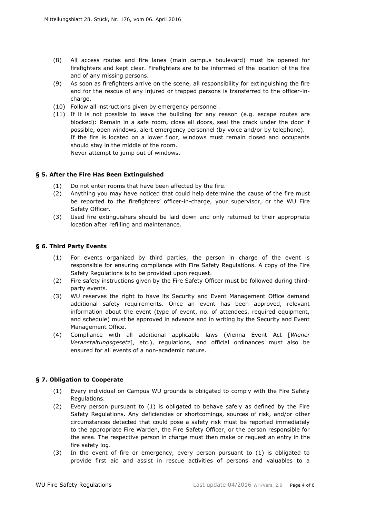- (8) All access routes and fire lanes (main campus boulevard) must be opened for firefighters and kept clear. Firefighters are to be informed of the location of the fire and of any missing persons.
- (9) As soon as firefighters arrive on the scene, all responsibility for extinguishing the fire and for the rescue of any injured or trapped persons is transferred to the officer-incharge.
- (10) Follow all instructions given by emergency personnel.
- (11) If it is not possible to leave the building for any reason (e.g. escape routes are blocked): Remain in a safe room, close all doors, seal the crack under the door if possible, open windows, alert emergency personnel (by voice and/or by telephone). If the fire is located on a lower floor, windows must remain closed and occupants should stay in the middle of the room. Never attempt to jump out of windows.

#### <span id="page-3-0"></span>**§ 5. After the Fire Has Been Extinguished**

- (1) Do not enter rooms that have been affected by the fire.
- (2) Anything you may have noticed that could help determine the cause of the fire must be reported to the firefighters' officer-in-charge, your supervisor, or the WU Fire Safety Officer.
- (3) Used fire extinguishers should be laid down and only returned to their appropriate location after refilling and maintenance.

#### <span id="page-3-1"></span>**§ 6. Third Party Events**

- (1) For events organized by third parties, the person in charge of the event is responsible for ensuring compliance with Fire Safety Regulations. A copy of the Fire Safety Regulations is to be provided upon request.
- (2) Fire safety instructions given by the Fire Safety Officer must be followed during thirdparty events.
- (3) WU reserves the right to have its Security and Event Management Office demand additional safety requirements. Once an event has been approved, relevant information about the event (type of event, no. of attendees, required equipment, and schedule) must be approved in advance and in writing by the Security and Event Management Office.
- (4) Compliance with all additional applicable laws (Vienna Event Act [*Wiener Veranstaltungsgesetz*], etc.), regulations, and official ordinances must also be ensured for all events of a non-academic nature.

#### <span id="page-3-2"></span>**§ 7. Obligation to Cooperate**

- (1) Every individual on Campus WU grounds is obligated to comply with the Fire Safety Regulations.
- (2) Every person pursuant to (1) is obligated to behave safely as defined by the Fire Safety Regulations. Any deficiencies or shortcomings, sources of risk, and/or other circumstances detected that could pose a safety risk must be reported immediately to the appropriate Fire Warden, the Fire Safety Officer, or the person responsible for the area. The respective person in charge must then make or request an entry in the fire safety log.
- (3) In the event of fire or emergency, every person pursuant to (1) is obligated to provide first aid and assist in rescue activities of persons and valuables to a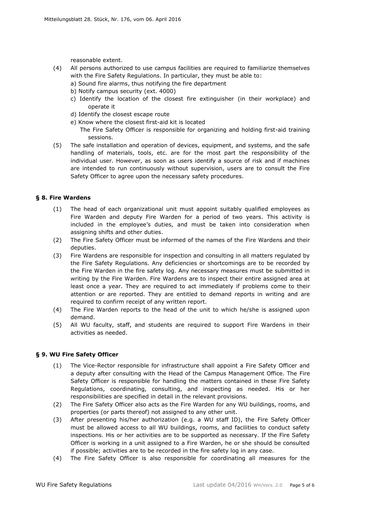reasonable extent.

- (4) All persons authorized to use campus facilities are required to familiarize themselves with the Fire Safety Regulations. In particular, they must be able to:
	- a) Sound fire alarms, thus notifying the fire department
	- b) Notify campus security (ext. 4000)
	- c) Identify the location of the closest fire extinguisher (in their workplace) and operate it
	- d) Identify the closest escape route
	- e) Know where the closest first-aid kit is located
		- The Fire Safety Officer is responsible for organizing and holding first-aid training sessions.
- (5) The safe installation and operation of devices, equipment, and systems, and the safe handling of materials, tools, etc. are for the most part the responsibility of the individual user. However, as soon as users identify a source of risk and if machines are intended to run continuously without supervision, users are to consult the Fire Safety Officer to agree upon the necessary safety procedures.

# <span id="page-4-0"></span>**§ 8. Fire Wardens**

- (1) The head of each organizational unit must appoint suitably qualified employees as Fire Warden and deputy Fire Warden for a period of two years. This activity is included in the employee's duties, and must be taken into consideration when assigning shifts and other duties.
- (2) The Fire Safety Officer must be informed of the names of the Fire Wardens and their deputies.
- (3) Fire Wardens are responsible for inspection and consulting in all matters regulated by the Fire Safety Regulations. Any deficiencies or shortcomings are to be recorded by the Fire Warden in the fire safety log. Any necessary measures must be submitted in writing by the Fire Warden. Fire Wardens are to inspect their entire assigned area at least once a year. They are required to act immediately if problems come to their attention or are reported. They are entitled to demand reports in writing and are required to confirm receipt of any written report.
- (4) The Fire Warden reports to the head of the unit to which he/she is assigned upon demand.
- (5) All WU faculty, staff, and students are required to support Fire Wardens in their activities as needed.

#### <span id="page-4-1"></span>**§ 9. WU Fire Safety Officer**

- (1) The Vice-Rector responsible for infrastructure shall appoint a Fire Safety Officer and a deputy after consulting with the Head of the Campus Management Office. The Fire Safety Officer is responsible for handling the matters contained in these Fire Safety Regulations, coordinating, consulting, and inspecting as needed. His or her responsibilities are specified in detail in the relevant provisions.
- (2) The Fire Safety Officer also acts as the Fire Warden for any WU buildings, rooms, and properties (or parts thereof) not assigned to any other unit.
- (3) After presenting his/her authorization (e.g. a WU staff ID), the Fire Safety Officer must be allowed access to all WU buildings, rooms, and facilities to conduct safety inspections. His or her activities are to be supported as necessary. If the Fire Safety Officer is working in a unit assigned to a Fire Warden, he or she should be consulted if possible; activities are to be recorded in the fire safety log in any case.
- (4) The Fire Safety Officer is also responsible for coordinating all measures for the